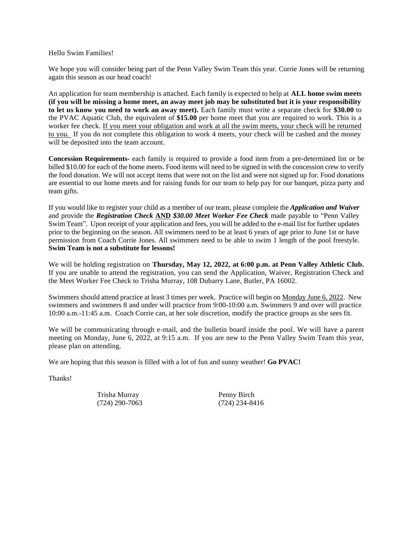#### Hello Swim Families!

We hope you will consider being part of the Penn Valley Swim Team this year. Corrie Jones will be returning again this season as our head coach!

An application for team membership is attached. Each family is expected to help at **ALL home swim meets (if you will be missing a home meet, an away meet job may be substituted but it is your responsibility to let us know you need to work an away meet).** Each family must write a separate check for **\$30.00** to the PVAC Aquatic Club, the equivalent of **\$15.00** per home meet that you are required to work. This is a worker fee check. If you meet your obligation and work at all the swim meets, your check will be returned to you. If you do not complete this obligation to work 4 meets, your check will be cashed and the money will be deposited into the team account.

**Concession Requirements-** each family is required to provide a food item from a pre-determined list or be billed \$10.00 for each of the home meets. Food items will need to be signed in with the concession crew to verify the food donation. We will not accept items that were not on the list and were not signed up for. Food donations are essential to our home meets and for raising funds for our team to help pay for our banquet, pizza party and team gifts.

If you would like to register your child as a member of our team, please complete the *Application and Waiver* and provide the *Registration Check* **AND** *\$30.00 Meet Worker Fee Check* made payable to "Penn Valley Swim Team". Upon receipt of your application and fees, you will be added to the e-mail list for further updates prior to the beginning on the season. All swimmers need to be at least 6 years of age prior to June 1st or have permission from Coach Corrie Jones. All swimmers need to be able to swim 1 length of the pool freestyle. **Swim Team is not a substitute for lessons!**

We will be holding registration on **Thursday, May 12, 2022, at 6:00 p.m. at Penn Valley Athletic Club.**  If you are unable to attend the registration, you can send the Application, Waiver, Registration Check and the Meet Worker Fee Check to Trisha Murray, 108 Dubarry Lane, Butler, PA 16002.

Swimmers should attend practice at least 3 times per week. Practice will begin on Monday June 6, 2022. New swimmers and swimmers 8 and under will practice from 9:00-10:00 a.m. Swimmers 9 and over will practice 10:00 a.m.-11:45 a.m. Coach Corrie can, at her sole discretion, modify the practice groups as she sees fit.

We will be communicating through e-mail, and the bulletin board inside the pool. We will have a parent meeting on Monday, June 6, 2022, at 9:15 a.m. If you are new to the Penn Valley Swim Team this year, please plan on attending.

We are hoping that this season is filled with a lot of fun and sunny weather! **Go PVAC!**

Thanks!

Trisha Murray Penny Birch (724) 290-7063 (724) 234-8416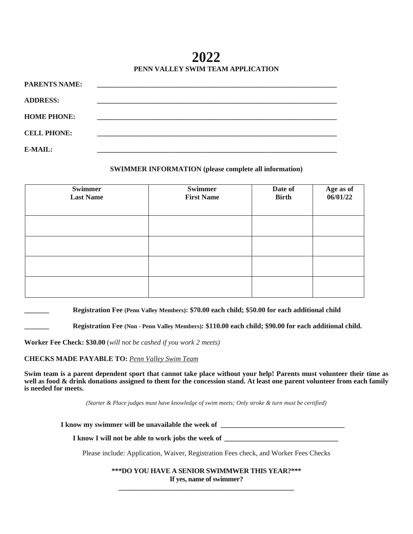**2022 PENN VALLEY SWIM TEAM APPLICATION**

| <b>PARENTS NAME:</b> |  |
|----------------------|--|
| <b>ADDRESS:</b>      |  |
|                      |  |
| <b>HOME PHONE:</b>   |  |
| <b>CELL PHONE:</b>   |  |
| E-MAIL:              |  |
|                      |  |

### **SWIMMER INFORMATION (please complete all information)**

| Swimmer<br><b>Last Name</b> | <b>Swimmer</b><br><b>First Name</b> | Date of<br><b>Birth</b> | Age as of<br>06/01/22 |
|-----------------------------|-------------------------------------|-------------------------|-----------------------|
|                             |                                     |                         |                       |
|                             |                                     |                         |                       |
|                             |                                     |                         |                       |
|                             |                                     |                         |                       |

**\_\_\_\_\_\_\_ Registration Fee (Penn Valley Members): \$70.00 each child; \$50.00 for each additional child**

**\_\_\_\_\_\_\_ Registration Fee (Non - Penn Valley Members): \$110.00 each child; \$90.00 for each additional child.**

**Worker Fee Check: \$30.00** (*will not be cashed if you work 2 meets)*

**CHECKS MADE PAYABLE TO:** *Penn Valley Swim Team* 

**Swim team is a parent dependent sport that cannot take place without your help! Parents must volunteer their time as well as food & drink donations assigned to them for the concession stand. At least one parent volunteer from each family is needed for meets.**

*(Starter & Place judges must have knowledge of swim meets; Only stroke & turn must be certified)*

**I** know my swimmer will be unavailable the week of \_\_\_\_\_\_\_\_\_\_\_\_\_\_\_\_\_\_\_\_\_\_\_\_\_\_\_\_\_

**I know I will not be able to work jobs the week of \_\_\_\_\_\_\_\_\_\_\_\_\_\_\_\_\_\_\_\_\_\_\_\_\_\_\_\_\_\_\_\_**

Please include: Application, Waiver, Registration Fees check, and Worker Fees Checks

**\*\*\*DO YOU HAVE A SENIOR SWIMMWER THIS YEAR?\*\*\* If yes, name of swimmer? \_\_\_\_\_\_\_\_\_\_\_\_\_\_\_\_\_\_\_\_\_\_\_\_\_\_\_\_\_\_\_\_\_\_\_\_\_\_\_\_\_\_\_\_\_\_\_\_\_\_\_\_**